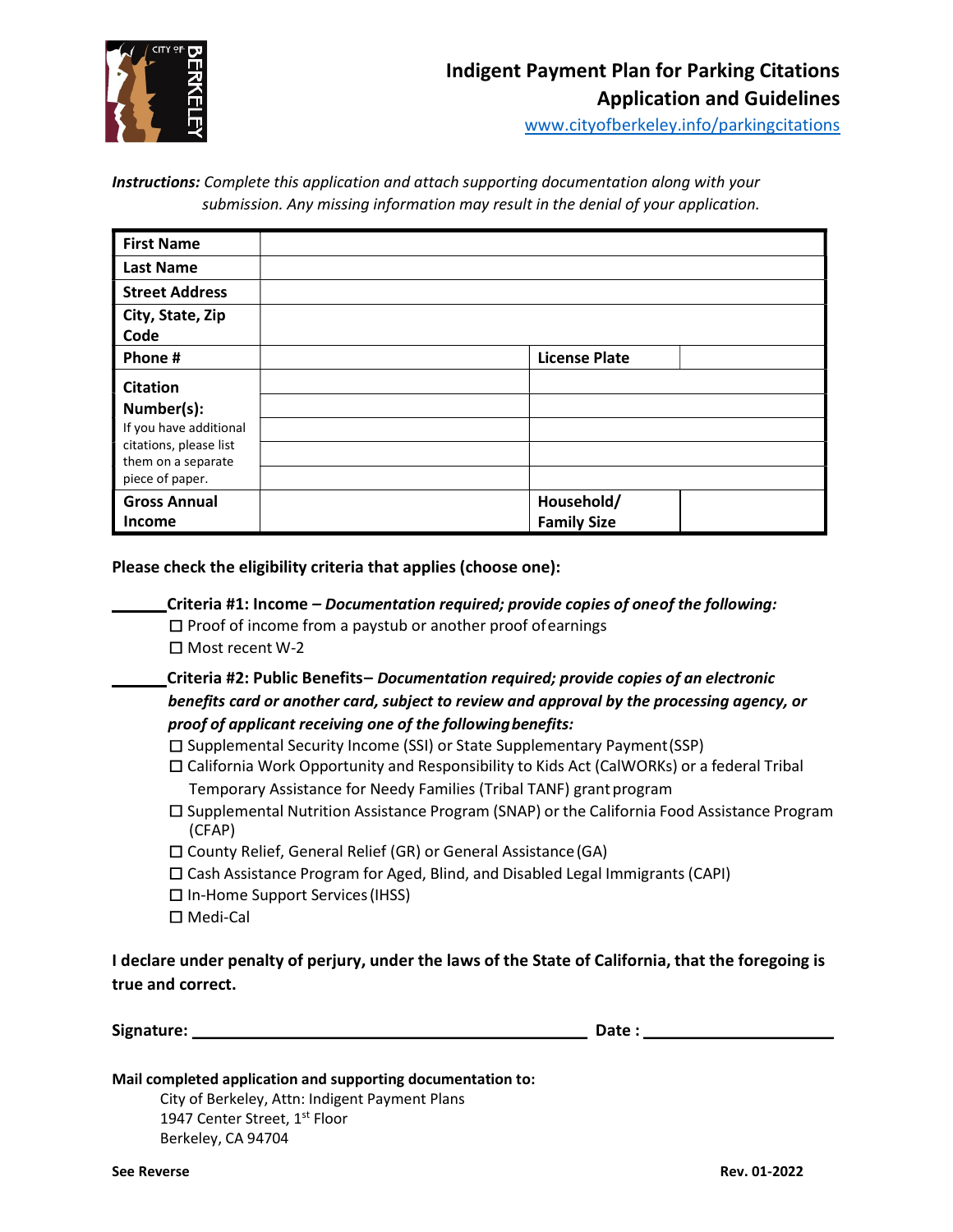

www.cityofberkeley.info/parkingcitations

**Instructions:** Complete this application and attach supporting documentation along with your submission. Any missing information may result in the denial of your application.

| <b>First Name</b>                                                                                                          |                                  |
|----------------------------------------------------------------------------------------------------------------------------|----------------------------------|
| <b>Last Name</b>                                                                                                           |                                  |
| <b>Street Address</b>                                                                                                      |                                  |
| City, State, Zip<br>Code                                                                                                   |                                  |
| Phone#                                                                                                                     | <b>License Plate</b>             |
| <b>Citation</b><br>Number(s):<br>If you have additional<br>citations, please list<br>them on a separate<br>piece of paper. |                                  |
| <b>Gross Annual</b><br>Income                                                                                              | Household/<br><b>Family Size</b> |

Please check the eligibility criteria that applies (choose one):

Criteria #1: Income – Documentation required; provide copies of one of the following:

 $\square$  Proof of income from a paystub or another proof of earnings

□ Most recent W-2

 Criteria #2: Public Benefits – Documentation required; provide copies of an electronic benefits card or another card, subject to review and approval by the processing agency, or proof of applicant receiving one of the following benefits:

- □ Supplemental Security Income (SSI) or State Supplementary Payment (SSP)
- □ California Work Opportunity and Responsibility to Kids Act (CalWORKs) or a federal Tribal Temporary Assistance for Needy Families (Tribal TANF) grant program
- □ Supplemental Nutrition Assistance Program (SNAP) or the California Food Assistance Program (CFAP)
- □ County Relief, General Relief (GR) or General Assistance (GA)
- □ Cash Assistance Program for Aged, Blind, and Disabled Legal Immigrants (CAPI)
- $\square$  In-Home Support Services (IHSS)
- □ Medi-Cal

I declare under penalty of perjury, under the laws of the State of California, that the foregoing is true and correct.

Signature: Date : Note : Date : Date : Date : Date : Date : Date : Date : Date :  $\mathsf{D}$ 

City of Berkeley, Attn: Indigent Payment Plans 1947 Center Street, 1st Floor Berkeley, CA 94704